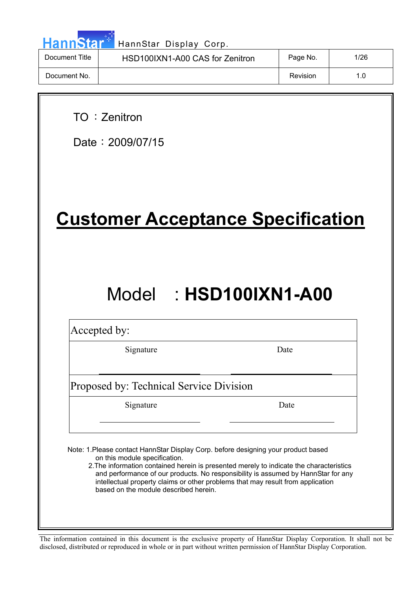|  |  | HannStar* |  |
|--|--|-----------|--|
|  |  |           |  |
|  |  |           |  |

| Document Title | HSD100IXN1-A00 CAS for Zenitron | Page No. | 1/26 |
|----------------|---------------------------------|----------|------|
| Document No.   |                                 | Revision | 1.0  |

TO: Zenitron

Date:  $2009/07/15$ 

# **Customer Acceptance Specification**

# Model : **HSD100IXN1-A00**

Accepted by:

Signature Date

Proposed by: Technical Service Division

Signature Date

Note: 1.Please contact HannStar Display Corp. before designing your product based on this module specification.

 2.The information contained herein is presented merely to indicate the characteristics and performance of our products. No responsibility is assumed by HannStar for any intellectual property claims or other problems that may result from application based on the module described herein.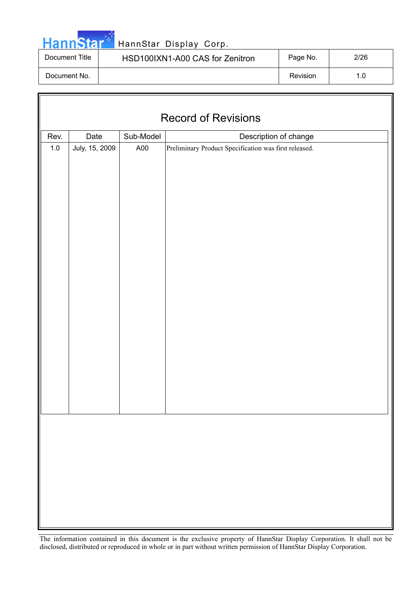|  |  | <b>HannStar</b> |  |
|--|--|-----------------|--|
|  |  |                 |  |

 $\sqrt{2}$ 

### HannStar Display Corp.

| Document Title | HSD100IXN1-A00 CAS for Zenitron | Page No. | 2/26 |
|----------------|---------------------------------|----------|------|
| Document No.   |                                 | Revision | 1.0  |

| <b>Record of Revisions</b> |                |           |                                                       |  |  |  |
|----------------------------|----------------|-----------|-------------------------------------------------------|--|--|--|
| Rev.                       | Date           | Sub-Model | Description of change                                 |  |  |  |
| $1.0\,$                    | July, 15, 2009 | A00       | Preliminary Product Specification was first released. |  |  |  |
|                            |                |           |                                                       |  |  |  |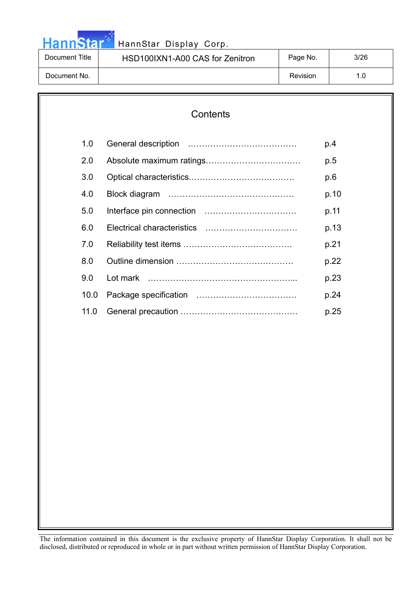### HannStar<sup>17</sup> HannStar Display Corp.

| Document Title | HSD100IXN1-A00 CAS for Zenitron | Page No. | 3/26 |
|----------------|---------------------------------|----------|------|
| Document No.   |                                 | Revision |      |

## **Contents**  1.0 General description ………………………………… p.4 2.0 Absolute maximum ratings……………………………. p.5 3.0 Optical characteristics.………………………………. p.6 4.0 Block diagram ……………………………………… p.10 5.0 Interface pin connection …………………………… p.11 6.0 Electrical characteristics …………………………… p.13 7.0 Reliability test items ………………………………… p.21 8.0 Outline dimension …………………………………… p.22 9.0 Lot mark ……………………………………………... p.23 10.0 Package specification ……………………………… p.24 11.0 General precaution …………………………………… p.25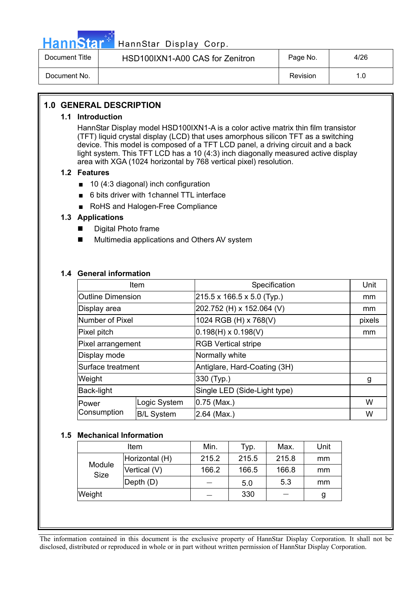

### HannStar<sup>#T</sup> HannStar Display Corp.

| Document Title | HSD100IXN1-A00 CAS for Zenitron | Page No. | 4/26 |
|----------------|---------------------------------|----------|------|
| Document No.   |                                 | Revision |      |

#### **1.0 GENERAL DESCRIPTION**

#### **1.1 Introduction**

HannStar Display model HSD100IXN1-A is a color active matrix thin film transistor (TFT) liquid crystal display (LCD) that uses amorphous silicon TFT as a switching device. This model is composed of a TFT LCD panel, a driving circuit and a back light system. This TFT LCD has a 10 (4:3) inch diagonally measured active display area with XGA (1024 horizontal by 768 vertical pixel) resolution.

#### **1.2 Features**

- $\Box$  10 (4:3 diagonal) inch configuration
- 6 bits driver with 1channel TTL interface
- RoHS and Halogen-Free Compliance

#### **1.3 Applications**

- Digital Photo frame
- Multimedia applications and Others AV system

#### **1.4 General information**

|                          | Item              | Specification                          | Unit   |
|--------------------------|-------------------|----------------------------------------|--------|
| <b>Outline Dimension</b> |                   | $215.5 \times 166.5 \times 5.0$ (Typ.) | mm     |
| Display area             |                   | 202.752 (H) x 152.064 (V)              | mm     |
| Number of Pixel          |                   | 1024 RGB (H) x 768(V)                  | pixels |
| Pixel pitch              |                   | $(0.198(H) \times 0.198(V))$           | mm     |
| Pixel arrangement        |                   | <b>RGB Vertical stripe</b>             |        |
| Display mode             |                   | Normally white                         |        |
| Surface treatment        |                   | Antiglare, Hard-Coating (3H)           |        |
| Weight                   |                   | 330 (Typ.)                             | g      |
| Back-light               |                   | Single LED (Side-Light type)           |        |
| Power                    | Logic System      | $0.75$ (Max.)                          | W      |
| Consumption              | <b>B/L System</b> | $2.64$ (Max.)                          | W      |

#### **1.5 Mechanical Information**

| Item           |                | Min.  | Typ.  | Max.  | Unit |
|----------------|----------------|-------|-------|-------|------|
| Module<br>Size | Horizontal (H) | 215.2 | 215.5 | 215.8 | mm   |
|                | Vertical (V)   | 166.2 | 166.5 | 166.8 | mm   |
|                | Depth (D)      |       | 5.0   | 5.3   | mm   |
| Weight         |                |       | 330   |       | g    |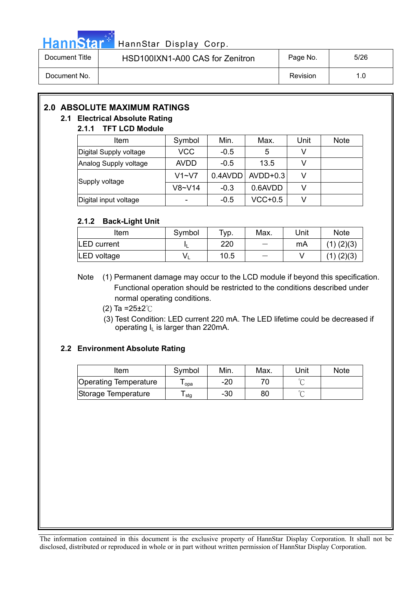

| Document Title | HSD100IXN1-A00 CAS for Zenitron | Page No. | 5/26 |
|----------------|---------------------------------|----------|------|
| Document No.   |                                 | Revision | 1.0  |

### **2.0 ABSOLUTE MAXIMUM RATINGS**

#### **2.1 Electrical Absolute Rating**

#### **2.1.1 TFT LCD Module**

| <b>Item</b>            | Symbol      | Min.   | Max.                  | Unit | <b>Note</b> |
|------------------------|-------------|--------|-----------------------|------|-------------|
| Digital Supply voltage | <b>VCC</b>  | $-0.5$ | 5                     |      |             |
| Analog Supply voltage  | <b>AVDD</b> | $-0.5$ | 13.5                  |      |             |
| Supply voltage         | $V1 - V7$   |        | $0.4$ AVDD   AVDD+0.3 | v    |             |
|                        | $V8-V14$    | $-0.3$ | 0.6AVDD               |      |             |
| Digital input voltage  |             | $-0.5$ | $VCC+0.5$             |      |             |

#### **2.1.2 Back-Light Unit**

| Item               | Symbol | Typ. | Max. | Unit | <b>Note</b>    |
|--------------------|--------|------|------|------|----------------|
| <b>LED</b> current |        | 220  |      | mA   | $(1)$ $(2)(3)$ |
| LED voltage        |        | 10.5 |      |      | (2)(3)         |

Note (1) Permanent damage may occur to the LCD module if beyond this specification. Functional operation should be restricted to the conditions described under normal operating conditions.

(2) Ta = $25 \pm 2^{\circ}$ C

 (3) Test Condition: LED current 220 mA. The LED lifetime could be decreased if operating  $I_L$  is larger than 220mA.

#### **2.2 Environment Absolute Rating**

| Item                         | Symbol | Min.  | Max. | Unit | <b>Note</b> |
|------------------------------|--------|-------|------|------|-------------|
| <b>Operating Temperature</b> | opa    | -20   |      |      |             |
| Storage Temperature          | stg    | $-30$ | 80   |      |             |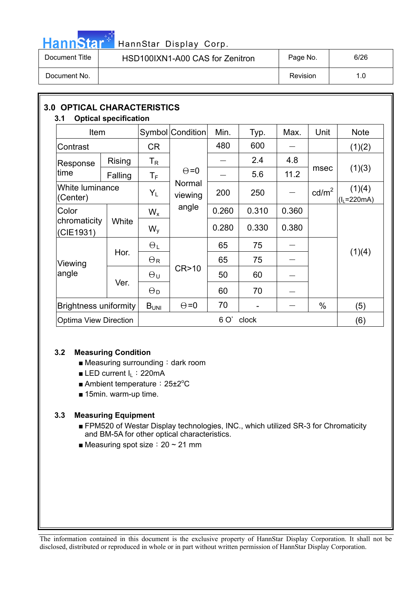## HannStar<sup>#</sup> HannStar Display Corp.

| Document Title | HSD100IXN1-A00 CAS for Zenitron | Page No. | 6/26 |
|----------------|---------------------------------|----------|------|
| Document No.   |                                 | Revision | 1.0  |

| 3.0<br><b>OPTICAL CHARACTERISTICS</b><br>3.1 | <b>Optical specification</b> |                         |                   |       |       |       |                 |                        |
|----------------------------------------------|------------------------------|-------------------------|-------------------|-------|-------|-------|-----------------|------------------------|
| <b>Item</b>                                  |                              |                         | Symbol Condition  | Min.  | Typ.  | Max.  | Unit            | <b>Note</b>            |
| Contrast                                     |                              | <b>CR</b>               |                   | 480   | 600   |       |                 | (1)(2)                 |
| Response                                     | <b>Rising</b>                | $T_R$                   |                   |       | 2.4   | 4.8   | msec            | (1)(3)                 |
| time                                         | Falling                      | $\mathsf T_{\mathsf F}$ | $\Theta = 0$      |       | 5.6   | 11.2  |                 |                        |
| (Center)                                     | White luminance              |                         | Normal<br>viewing | 200   | 250   |       | $\text{cd/m}^2$ | (1)(4)<br>$(IL=220mA)$ |
| Color                                        |                              | $W_{x}$                 | angle             | 0.260 | 0.310 | 0.360 |                 |                        |
| chromaticity<br>White<br>(CIE1931)           |                              | $W_{V}$                 |                   | 0.280 | 0.330 | 0.380 |                 |                        |
|                                              |                              | $\Theta_L$              |                   | 65    | 75    |       |                 |                        |
| Viewing                                      | Hor.                         | $\Theta_{\rm R}$        |                   | 65    | 75    |       |                 | (1)(4)                 |
| angle                                        | Ver.                         | $\Theta$ u              | CR>10             | 50    | 60    |       |                 |                        |
|                                              |                              | $\Theta_D$              |                   | 60    | 70    |       |                 |                        |
|                                              | <b>Brightness uniformity</b> |                         | $\Theta = 0$      | 70    |       |       | $\%$            | (5)                    |
| <b>Optima View Direction</b>                 |                              |                         |                   | 6 O'  | clock |       |                 | (6)                    |

#### **3.2 Measuring Condition**

- $\blacksquare$  Measuring surrounding : dark room
- **ELED current I<sub>L</sub>: 220mA**
- Ambient temperature: 25±2°C
- $\blacksquare$  15min. warm-up time.

#### **3.3 Measuring Equipment**

- FPM520 of Westar Display technologies, INC., which utilized SR-3 for Chromaticity and BM-5A for other optical characteristics.
- **Measuring spot size : 20 ~ 21 mm**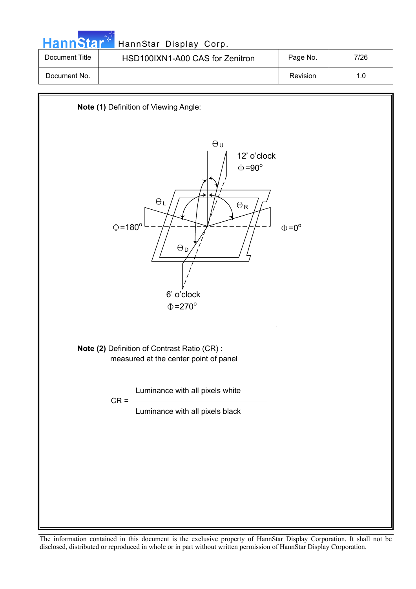| <b>HannStar</b> 1 | HannStar Display Corp.          |          |      |
|-------------------|---------------------------------|----------|------|
| Document Title    | HSD100IXN1-A00 CAS for Zenitron | Page No. | 7/26 |
| Document No.      |                                 | Revision | 1.0  |

m.

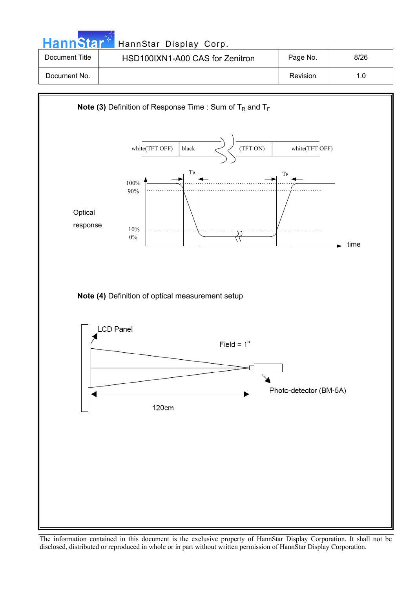**Hann**Star HannStar Display Corp. Document Title | HSD100IXN1-A00 CAS for Zenitron | Page No. | 8/26 Document No. 2010 1.0

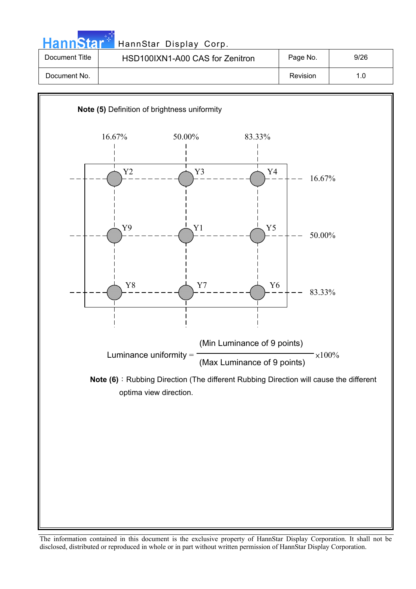**Hann**Star HannStar Display Corp. Document Title | HSD100IXN1-A00 CAS for Zenitron | Page No. | 9/26

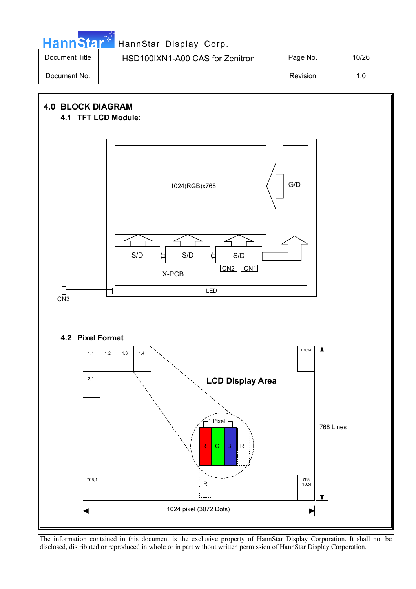

### HannStar<sup>t HannStar Display Corp.</sup>

| Document Title | HSD100IXN1-A00 CAS for Zenitron | Page No. | 10/26 |
|----------------|---------------------------------|----------|-------|
| Document No.   |                                 | Revision |       |

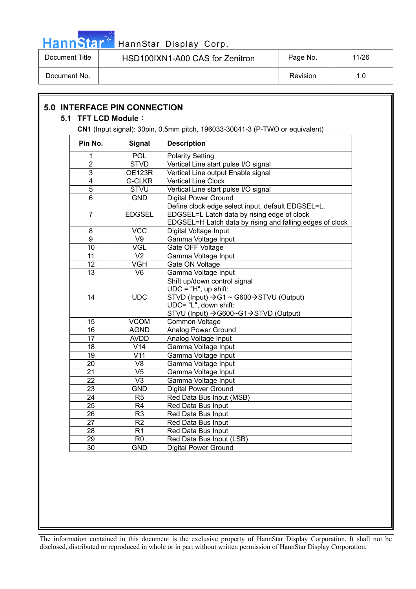

Document Title | HSD100IXN1-A00 CAS for Zenitron | Page No. | 11/26

Document No. 1.0

| Pin No.         | <b>Signal</b>            | CN1 (Input signal): 30pin, 0.5mm pitch, 196033-30041-3 (P-TWO or equivalent)<br><b>Description</b>                                                                                                |
|-----------------|--------------------------|---------------------------------------------------------------------------------------------------------------------------------------------------------------------------------------------------|
| 1               | POL                      | <b>Polarity Setting</b>                                                                                                                                                                           |
| $\overline{2}$  | <b>STVD</b>              | Vertical Line start pulse I/O signal                                                                                                                                                              |
| $\overline{3}$  | <b>OE123R</b>            | Vertical Line output Enable signal                                                                                                                                                                |
| $\overline{4}$  | <b>G-CLKR</b>            | <b>Vertical Line Clock</b>                                                                                                                                                                        |
| $\overline{5}$  | <b>STVU</b>              | Vertical Line start pulse I/O signal                                                                                                                                                              |
| 6               | <b>GND</b>               | <b>Digital Power Ground</b>                                                                                                                                                                       |
| 7               | <b>EDGSEL</b>            | Define clock edge select input, default EDGSEL=L.<br>EDGSEL=L Latch data by rising edge of clock<br>EDGSEL=H Latch data by rising and falling edges of clock                                      |
| 8               | <b>VCC</b>               | Digital Voltage Input                                                                                                                                                                             |
| $\overline{9}$  | V9                       | Gamma Voltage Input                                                                                                                                                                               |
| 10              | <b>VGL</b>               | Gate OFF Voltage                                                                                                                                                                                  |
| 11              | V <sub>2</sub>           | Gamma Voltage Input                                                                                                                                                                               |
| 12              | <b>VGH</b>               | Gate ON Voltage                                                                                                                                                                                   |
| 13              | V <sub>6</sub>           | Gamma Voltage Input                                                                                                                                                                               |
| 14              | <b>UDC</b>               | Shift up/down control signal<br>$UDC = "H", up shift:$<br>$STVD$ (Input) $\rightarrow$ G1 ~ G600 $\rightarrow$ STVU (Output)<br>UDC= "L", down shift:<br>STVU (Input) -> G600~G1 -> STVD (Output) |
| 15              | <b>VCOM</b>              | <b>Common Voltage</b>                                                                                                                                                                             |
| 16              | <b>AGND</b>              | <b>Analog Power Ground</b>                                                                                                                                                                        |
| 17              | <b>AVDD</b>              | Analog Voltage Input                                                                                                                                                                              |
| $\overline{18}$ | $\overline{V14}$         | Gamma Voltage Input                                                                                                                                                                               |
| $\overline{19}$ | $\overline{\text{V}}$ 11 | Gamma Voltage Input                                                                                                                                                                               |
| 20              | V <sub>8</sub>           | Gamma Voltage Input                                                                                                                                                                               |
| $\overline{21}$ | $\overline{\vee 5}$      | Gamma Voltage Input                                                                                                                                                                               |
| $\overline{22}$ | $\overline{\vee}$ 3      | Gamma Voltage Input                                                                                                                                                                               |
| 23              | <b>GND</b>               | <b>Digital Power Ground</b>                                                                                                                                                                       |
| $\overline{24}$ | R <sub>5</sub>           | Red Data Bus Input (MSB)                                                                                                                                                                          |
| $\overline{25}$ | $\overline{R4}$          | Red Data Bus Input                                                                                                                                                                                |
| $\overline{26}$ | R <sub>3</sub>           | Red Data Bus Input                                                                                                                                                                                |
| 27              | R <sub>2</sub>           | Red Data Bus Input                                                                                                                                                                                |
| $\overline{28}$ | $\overline{R1}$          | Red Data Bus Input                                                                                                                                                                                |
| $\overline{29}$ | $\overline{R0}$          | Red Data Bus Input (LSB)                                                                                                                                                                          |
| $\overline{30}$ | <b>GND</b>               | <b>Digital Power Ground</b>                                                                                                                                                                       |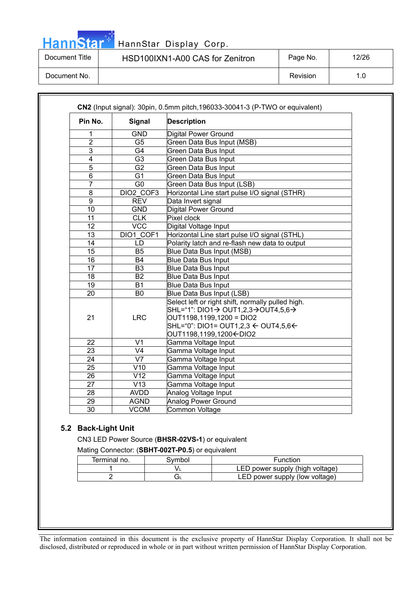HannStar<sup>®</sup>

### HannStar Display Corp.

Document Title | HSD100IXN1-A00 CAS for Zenitron | Page No. | 12/26

Document No. 2012 1.0

| Pin No.         | Signal                   | <b>Description</b>                                                                                                                                                                                                                                 |  |
|-----------------|--------------------------|----------------------------------------------------------------------------------------------------------------------------------------------------------------------------------------------------------------------------------------------------|--|
| 1               | <b>GND</b>               | <b>Digital Power Ground</b>                                                                                                                                                                                                                        |  |
| $\overline{2}$  | G <sub>5</sub>           | Green Data Bus Input (MSB)                                                                                                                                                                                                                         |  |
| 3               | G4                       | <b>Green Data Bus Input</b>                                                                                                                                                                                                                        |  |
| 4               | $\overline{G3}$          | <b>Green Data Bus Input</b>                                                                                                                                                                                                                        |  |
| $\overline{5}$  | $\overline{G2}$          | Green Data Bus Input                                                                                                                                                                                                                               |  |
| $\overline{6}$  | $\overline{G1}$          | <b>Green Data Bus Input</b>                                                                                                                                                                                                                        |  |
| $\overline{7}$  | $\overline{G}$           | Green Data Bus Input (LSB)                                                                                                                                                                                                                         |  |
| 8               | DIO2 COF3                | Horizontal Line start pulse I/O signal (STHR)                                                                                                                                                                                                      |  |
| $\overline{9}$  | <b>REV</b>               | Data Invert signal                                                                                                                                                                                                                                 |  |
| 10              | <b>GND</b>               | <b>Digital Power Ground</b>                                                                                                                                                                                                                        |  |
| 11              | <b>CLK</b>               | Pixel clock                                                                                                                                                                                                                                        |  |
| $\overline{12}$ | <b>VCC</b>               | Digital Voltage Input                                                                                                                                                                                                                              |  |
| 13              | DIO1 COF1                | Horizontal Line start pulse I/O signal (STHL)                                                                                                                                                                                                      |  |
| 14              | <b>LD</b>                | Polarity latch and re-flash new data to output                                                                                                                                                                                                     |  |
| 15              | B <sub>5</sub>           | Blue Data Bus Input (MSB)                                                                                                                                                                                                                          |  |
| 16              | <b>B4</b>                | <b>Blue Data Bus Input</b>                                                                                                                                                                                                                         |  |
| 17              | B <sub>3</sub>           | <b>Blue Data Bus Input</b>                                                                                                                                                                                                                         |  |
| 18              | <b>B2</b>                | <b>Blue Data Bus Input</b>                                                                                                                                                                                                                         |  |
| 19              | <b>B1</b>                | <b>Blue Data Bus Input</b>                                                                                                                                                                                                                         |  |
| 20              | B <sub>0</sub>           | Blue Data Bus Input (LSB)                                                                                                                                                                                                                          |  |
| 21              | <b>LRC</b>               | Select left or right shift, normally pulled high.<br>SHL="1": DIO1 $\rightarrow$ OUT1,2,3 $\rightarrow$ OUT4,5,6 $\rightarrow$<br>OUT1198,1199,1200 = DIO2<br>SHL="0": DIO1= OUT1,2,3 $\leftarrow$ OUT4,5,6 $\leftarrow$<br>OUT1198,1199,1200←DIO2 |  |
| 22              | V <sub>1</sub>           | Gamma Voltage Input                                                                                                                                                                                                                                |  |
| 23              | V <sub>4</sub>           | Gamma Voltage Input                                                                                                                                                                                                                                |  |
| $\overline{24}$ | $\overline{\mathsf{V7}}$ | Gamma Voltage Input                                                                                                                                                                                                                                |  |
| $\overline{25}$ | V10                      | Gamma Voltage Input                                                                                                                                                                                                                                |  |
| 26              | $\overline{V12}$         | Gamma Voltage Input                                                                                                                                                                                                                                |  |
| $\overline{27}$ | $\overline{V13}$         | Gamma Voltage Input                                                                                                                                                                                                                                |  |
| 28              | <b>AVDD</b>              | Analog Voltage Input                                                                                                                                                                                                                               |  |
| 29              | <b>AGND</b>              | <b>Analog Power Ground</b>                                                                                                                                                                                                                         |  |
| $\overline{30}$ | <b>VCOM</b>              | <b>Common Voltage</b>                                                                                                                                                                                                                              |  |

#### **5.2 Back-Light Unit**

CN3 LED Power Source (**BHSR-02VS-1**) or equivalent

|  | Mating Connector: (SBHT-002T-P0.5) or equivalent |  |
|--|--------------------------------------------------|--|
|--|--------------------------------------------------|--|

| Terminal no. | Svmbol | Function                        |
|--------------|--------|---------------------------------|
|              |        | LED power supply (high voltage) |
|              |        |                                 |
|              |        | LED power supply (low voltage)  |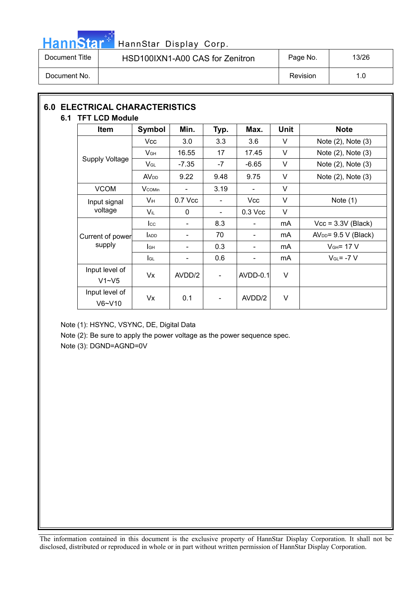

| Document Title | HSD100IXN1-A00 CAS for Zenitron | Page No. | 13/26 |
|----------------|---------------------------------|----------|-------|
| Document No.   |                                 | Revision | 1.0   |

#### **6.0 ELECTRICAL CHARACTERISTICS 6.1 TFT LCD Module**

| IFI LUD MUUUIT              |                        |                          |                              |                          |             |                        |  |
|-----------------------------|------------------------|--------------------------|------------------------------|--------------------------|-------------|------------------------|--|
| Item                        | <b>Symbol</b>          | Min.                     | Typ.                         | Max.                     | <b>Unit</b> | <b>Note</b>            |  |
|                             | Vcc                    | 3.0                      | 3.3                          | 3.6                      | $\vee$      | Note (2), Note (3)     |  |
|                             | $V_{GH}$               | 16.55                    | 17                           | 17.45                    | V           | Note (2), Note (3)     |  |
| <b>Supply Voltage</b>       | $V_{GL}$               | $-7.35$                  | -7                           | $-6.65$                  | V           | Note (2), Note (3)     |  |
|                             | <b>AV<sub>DD</sub></b> | 9.22                     | 9.48                         | 9.75                     | V           | Note (2), Note (3)     |  |
| <b>VCOM</b>                 | <b>V</b> comin         |                          | 3.19                         |                          | V           |                        |  |
| Input signal<br>voltage     | $V_{iH}$               | $0.7$ Vcc                |                              | <b>Vcc</b>               | $\vee$      | Note $(1)$             |  |
|                             | Vil                    | 0                        | $\blacksquare$               | $0.3$ Vcc                | V           |                        |  |
|                             | $_{\rm lcc}$           |                          | 8.3                          |                          | mA          | $Vcc = 3.3V$ (Black)   |  |
| Current of power            | ADD                    |                          | 70                           |                          | mA          | $AVDD = 9.5 V (Black)$ |  |
| supply                      | lсн                    | $\overline{\phantom{a}}$ | 0.3                          | $\overline{\phantom{a}}$ | mA          | $V_{GH}$ = 17 V        |  |
|                             | <b>I</b> GL            | $\overline{\phantom{0}}$ | 0.6                          |                          | mA          | $V_{GL} = -7 V$        |  |
| Input level of<br>$V1 - V5$ | Vx                     | AVDD/2                   | $\qquad \qquad \blacksquare$ | $AVDD-0.1$               | $\vee$      |                        |  |
| Input level of<br>$V6-V10$  | Vx                     | 0.1                      | -                            | AVDD/2                   | V           |                        |  |

Note (1): HSYNC, VSYNC, DE, Digital Data

Note (2): Be sure to apply the power voltage as the power sequence spec.

Note (3): DGND=AGND=0V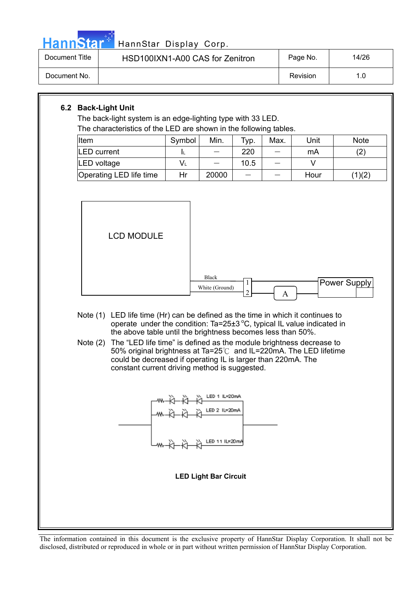

| Document Title | HSD100IXN1-A00 CAS for Zenitron | Page No. | 14/26 |
|----------------|---------------------------------|----------|-------|
| Document No.   |                                 | Revision | 1.0   |

#### **6.2 Back-Light Unit**

The back-light system is an edge-lighting type with 33 LED. The characteristics of the LED are shown in the following tables.

| THE CHARGE BUCS OF THE LLD ATE SHOWH IT THE TUILWING TADIES. |        |       |      |      |      |             |
|--------------------------------------------------------------|--------|-------|------|------|------|-------------|
| Item                                                         | Symbol | Min.  | Typ. | Max. | Unit | <b>Note</b> |
| <b>LED</b> current                                           |        |       | 220  |      | mA   | (2          |
| LED voltage                                                  | V∟     |       | 10.5 |      |      |             |
| Operating LED life time                                      | Hr     | 20000 |      |      | Hour | (1)(2)      |



- Note (1) LED life time (Hr) can be defined as the time in which it continues to operate under the condition: Ta=25 $\pm$ 3 °C, typical IL value indicated in the above table until the brightness becomes less than 50%.
- Note (2) The "LED life time" is defined as the module brightness decrease to 50% original brightness at Ta=25 $\degree$ C and IL=220mA. The LED lifetime could be decreased if operating IL is larger than 220mA. The constant current driving method is suggested.



**LED Light Bar Circuit**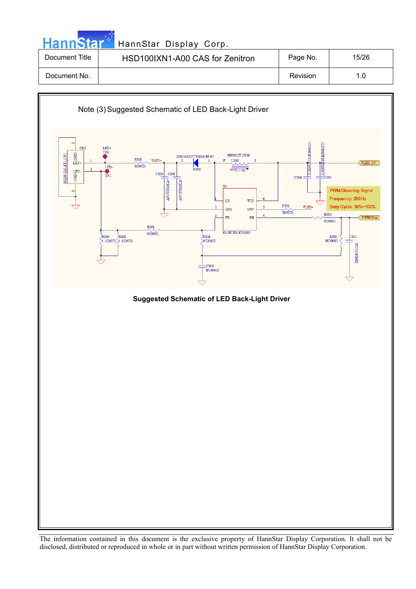| <b>HannStar</b> | HannStar Display Corp.          |          |       |
|-----------------|---------------------------------|----------|-------|
| Document Title  | HSD100IXN1-A00 CAS for Zenitron | Page No. | 15/26 |
| Document No.    |                                 | Revision | 1.0   |

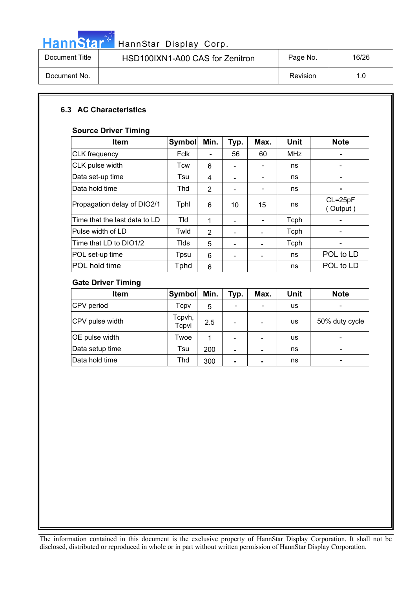

# HannStar<sup>t H</sup>annStar Display Corp.

| Document Title | HSD100IXN1-A00 CAS for Zenitron | Page No. | 16/26 |
|----------------|---------------------------------|----------|-------|
| Document No.   |                                 | Revision | 1.0   |

#### **6.3 AC Characteristics**

#### **Source Driver Timing**

| <b>Item</b>                   | <b>Symbol</b> | Min.           | Typ.                     | Max. | Unit       | <b>Note</b>             |
|-------------------------------|---------------|----------------|--------------------------|------|------------|-------------------------|
| <b>CLK</b> frequency          | Fclk          |                | 56                       | 60   | <b>MHz</b> |                         |
| CLK pulse width               | Tcw           | 6              | $\overline{\phantom{0}}$ |      | ns         |                         |
| Data set-up time              | Tsu           | 4              |                          |      | ns         |                         |
| Data hold time                | Thd           | 2              |                          | -    | ns         |                         |
| Propagation delay of DIO2/1   | Tphl          | 6              | 10                       | 15   | ns         | $CL = 25pF$<br>(Output) |
| Time that the last data to LD | Tld           | 1              |                          |      | Tcph       |                         |
| Pulse width of LD             | Twld          | $\overline{2}$ |                          |      | Tcph       |                         |
| Time that LD to DIO1/2        | Tids          | 5              |                          |      | Tcph       |                         |
| POL set-up time               | Tpsu          | 6              |                          |      | ns         | POL to LD               |
| POL hold time                 | Tphd          | 6              |                          |      | ns         | POL to LD               |

#### **Gate Driver Timing**

| <b>Item</b>     | Symbol          | Min. | Typ. | Max. | Unit | <b>Note</b>                  |
|-----------------|-----------------|------|------|------|------|------------------------------|
| CPV period      | Tcpv            | 5    |      |      | us   |                              |
| CPV pulse width | Tcpvh,<br>Tcpvl | 2.5  |      |      | us   | 50% duty cycle               |
| OE pulse width  | Twoe            |      |      |      | us   | $\qquad \qquad \blacksquare$ |
| Data setup time | Tsu             | 200  |      |      | ns   | -                            |
| Data hold time  | Thd             | 300  |      |      | ns   | ۰                            |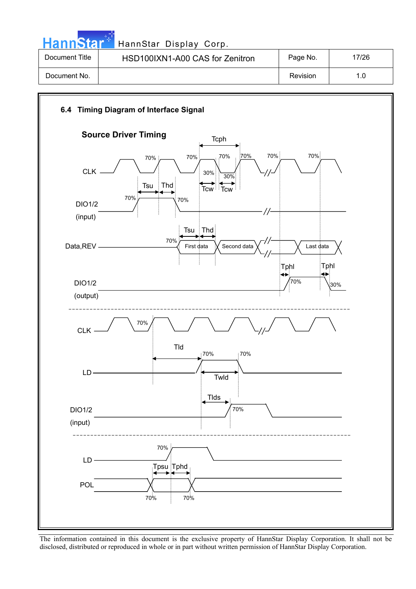HannStar<sup>#</sup> HannStar Display Corp.

| Document Title | HSD100IXN1-A00 CAS for Zenitron | Page No. | 17/26 |
|----------------|---------------------------------|----------|-------|
| Document No.   |                                 | Revision | 1.0   |

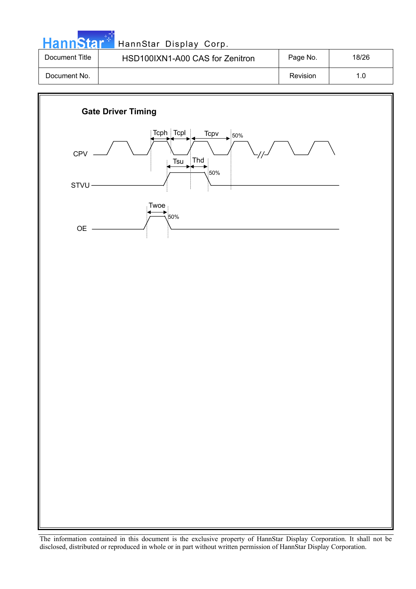|  |  | <b>HannStar</b> * |  |
|--|--|-------------------|--|
|  |  |                   |  |

| Document Title | HSD100IXN1-A00 CAS for Zenitron | Page No. | 18/26 |
|----------------|---------------------------------|----------|-------|
| Document No.   |                                 | Revision |       |

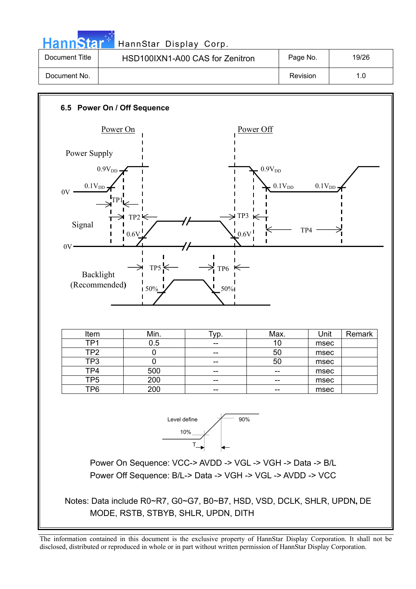HannStar<sup>5</sup> HannStar Display Corp.

| Document Title | HSD100IXN1-A00 CAS for Zenitron | Page No. | 19/26 |
|----------------|---------------------------------|----------|-------|
| Document No.   |                                 | Revision |       |

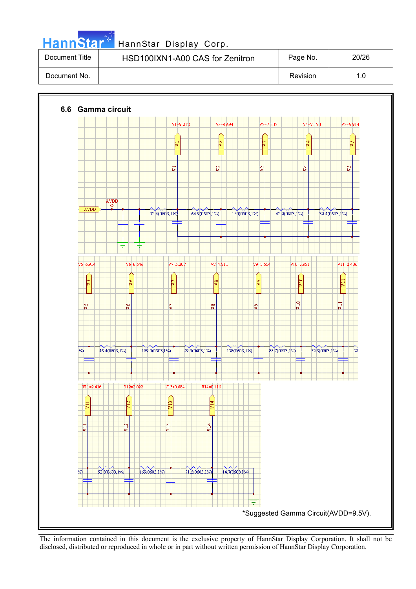| . .<br>. . |  | <b>ann</b> | 151 |  |
|------------|--|------------|-----|--|
|            |  |            |     |  |

| Document Title | HSD100IXN1-A00 CAS for Zenitron | Page No. | 20/26 |
|----------------|---------------------------------|----------|-------|
| Document No.   |                                 | Revision | 1.0   |



The information contained in this document is the exclusive property of HannStar Display Corporation. It shall not be disclosed, distributed or reproduced in whole or in part without written permission of HannStar Display Corporation.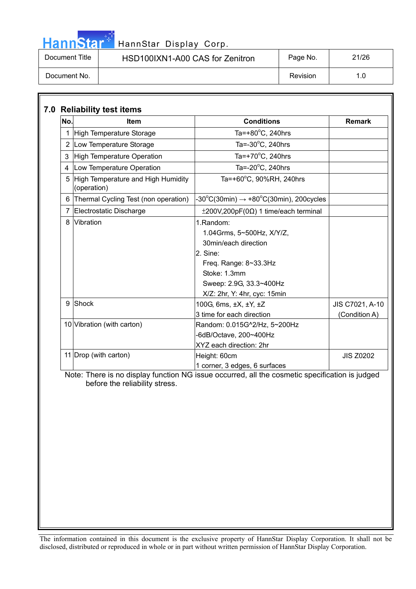## HannStar<sup>#</sup> HannStar Display Corp.

| Document Title | HSD100IXN1-A00 CAS for Zenitron | Page No. | 21/26 |
|----------------|---------------------------------|----------|-------|
| Document No.   |                                 | Revision | 1.0   |

| No.            | <b>Item</b>                                       | <b>Conditions</b>                                                                                                                                                                                                                    | <b>Remark</b>                    |
|----------------|---------------------------------------------------|--------------------------------------------------------------------------------------------------------------------------------------------------------------------------------------------------------------------------------------|----------------------------------|
|                | 1 High Temperature Storage                        | Ta=+80 $\mathrm{^{\circ}C}$ , 240hrs                                                                                                                                                                                                 |                                  |
|                | 2 Low Temperature Storage                         | Ta= $-30^{\circ}$ C, 240hrs                                                                                                                                                                                                          |                                  |
| 3              | High Temperature Operation                        | Ta=+70 $\mathrm{^{\circ}C}$ , 240hrs                                                                                                                                                                                                 |                                  |
| 4              | Low Temperature Operation                         | Ta= $-20^{\circ}$ C, 240hrs                                                                                                                                                                                                          |                                  |
| 5              | High Temperature and High Humidity<br>(operation) | Ta=+60°C, 90%RH, 240hrs                                                                                                                                                                                                              |                                  |
|                | 6 Thermal Cycling Test (non operation)            | $-30^{\circ}$ C(30min) $\rightarrow +80^{\circ}$ C(30min), 200cycles                                                                                                                                                                 |                                  |
| $\overline{7}$ | Electrostatic Discharge                           | $\pm 200V, 200pF(0\Omega)$ 1 time/each terminal                                                                                                                                                                                      |                                  |
| 8<br>9         | Vibration<br>Shock                                | 1.Random:<br>1.04Grms, 5~500Hz, X/Y/Z,<br>30min/each direction<br>2. Sine:<br>Freq. Range: 8~33.3Hz<br>Stoke: 1.3mm<br>Sweep: 2.9G, 33.3~400Hz<br>X/Z: 2hr, Y: 4hr, cyc: 15min<br>100G, 6ms, ±X, ±Y, ±Z<br>3 time for each direction | JIS C7021, A-10<br>(Condition A) |
|                | 10 Vibration (with carton)                        | Random: 0.015G^2/Hz, 5~200Hz<br>-6dB/Octave, 200~400Hz<br>XYZ each direction: 2hr                                                                                                                                                    |                                  |
|                | 11 Drop (with carton)                             | Height: 60cm<br>1 corner, 3 edges, 6 surfaces                                                                                                                                                                                        | <b>JIS Z0202</b>                 |

 Note: There is no display function NG issue occurred, all the cosmetic specification is judged before the reliability stress.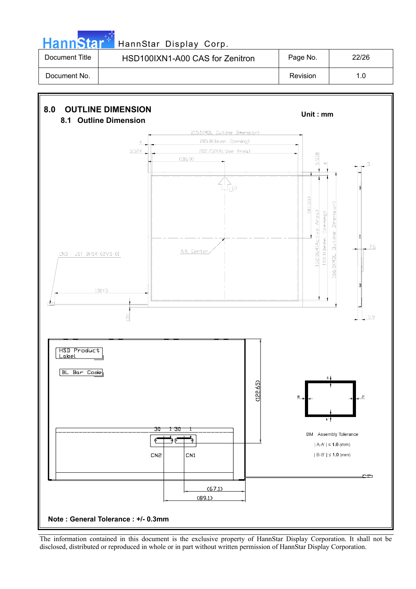

# HannStar<sup>t HannStar Display Corp.</sup>

| Document Title | HSD100IXN1-A00 CAS for Zenitron | Page No. | 22/26 |
|----------------|---------------------------------|----------|-------|
| Document No.   |                                 | Revision | 1.0   |

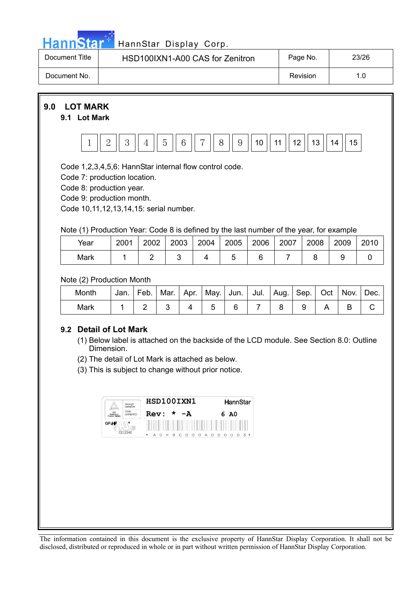|  | <u>ann<sup>,</sup></u> | $\sim$ |  |
|--|------------------------|--------|--|
|  |                        |        |  |

| Document Title | HSD100IXN1-A00 CAS for Zenitron | Page No. | 23/26 |
|----------------|---------------------------------|----------|-------|
| Document No.   |                                 | Revision | 1.0   |



#### **9.2 Detail of Lot Mark**

- (1) Below label is attached on the backside of the LCD module. See Section 8.0: Outline Dimension.
- (2) The detail of Lot Mark is attached as below.
- (3) This is subject to change without prior notice.

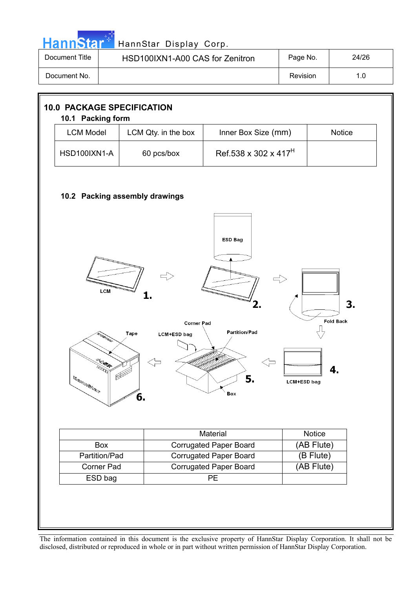|  |  | <b>HannStar</b> |  |
|--|--|-----------------|--|
|  |  |                 |  |

| Document Title | HSD100IXN1-A00 CAS for Zenitron | Page No. | 24/26 |
|----------------|---------------------------------|----------|-------|
| Document No.   |                                 | Revision |       |

| <b>LCM Model</b>                                                                                                                                                                                                                                                                                                                                                                                                                                                                                                                                                                 | LCM Qty. in the box | Inner Box Size (mm)              | <b>Notice</b> |  |  |  |  |  |
|----------------------------------------------------------------------------------------------------------------------------------------------------------------------------------------------------------------------------------------------------------------------------------------------------------------------------------------------------------------------------------------------------------------------------------------------------------------------------------------------------------------------------------------------------------------------------------|---------------------|----------------------------------|---------------|--|--|--|--|--|
| HSD100IXN1-A                                                                                                                                                                                                                                                                                                                                                                                                                                                                                                                                                                     | 60 pcs/box          | Ref.538 x 302 x 417 <sup>H</sup> |               |  |  |  |  |  |
| 10.2 Packing assembly drawings<br><b>ESD Bag</b>                                                                                                                                                                                                                                                                                                                                                                                                                                                                                                                                 |                     |                                  |               |  |  |  |  |  |
| LCM<br>3.<br><b>Fold Back</b><br><b>Corner Pad</b><br><b>Partition/Pad</b><br><b>Tape</b><br>LCM+ESD bag<br>4<br>5.<br>$\mathbb{E} \mathbb{E} \mathbb{E} \mathbb{E} \mathbb{E} \mathbb{E} \mathbb{E} \mathbb{E} \mathbb{E} \mathbb{E} \mathbb{E} \mathbb{E} \mathbb{E} \mathbb{E} \mathbb{E} \mathbb{E} \mathbb{E} \mathbb{E} \mathbb{E} \mathbb{E} \mathbb{E} \mathbb{E} \mathbb{E} \mathbb{E} \mathbb{E} \mathbb{E} \mathbb{E} \mathbb{E} \mathbb{E} \mathbb{E} \mathbb{E} \mathbb{E} \mathbb{E} \mathbb{E} \mathbb{E} \mathbb{E} \mathbb{$<br><b>LCM+ESD</b> bag<br>Box<br>6. |                     |                                  |               |  |  |  |  |  |
|                                                                                                                                                                                                                                                                                                                                                                                                                                                                                                                                                                                  |                     | Material                         | Notice        |  |  |  |  |  |
| Box                                                                                                                                                                                                                                                                                                                                                                                                                                                                                                                                                                              |                     | <b>Corrugated Paper Board</b>    | (AB Flute)    |  |  |  |  |  |
| Partition/Pad                                                                                                                                                                                                                                                                                                                                                                                                                                                                                                                                                                    |                     | <b>Corrugated Paper Board</b>    | (B Flute)     |  |  |  |  |  |
| Corner Pad                                                                                                                                                                                                                                                                                                                                                                                                                                                                                                                                                                       |                     | <b>Corrugated Paper Board</b>    | (AB Flute)    |  |  |  |  |  |
| ESD bag                                                                                                                                                                                                                                                                                                                                                                                                                                                                                                                                                                          |                     | PE                               |               |  |  |  |  |  |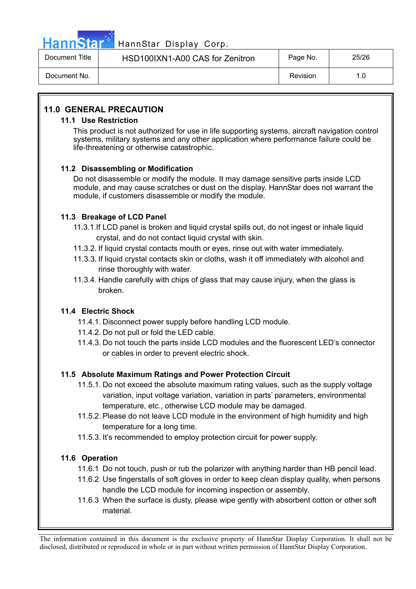

### HannStar<sup>47</sup> HannStar Display Corp.

| Document Title | HSD100IXN1-A00 CAS for Zenitron | Page No. | 25/26 |
|----------------|---------------------------------|----------|-------|
| Document No.   |                                 | Revision | 1.0   |

#### **11.0 GENERAL PRECAUTION**

#### **11.1 Use Restriction**

This product is not authorized for use in life supporting systems, aircraft navigation control systems, military systems and any other application where performance failure could be life-threatening or otherwise catastrophic.

#### **11.2 Disassembling or Modification**

Do not disassemble or modify the module. It may damage sensitive parts inside LCD module, and may cause scratches or dust on the display. HannStar does not warrant the module, if customers disassemble or modify the module.

#### **11.3 Breakage of LCD Panel**

- 11.3.1.If LCD panel is broken and liquid crystal spills out, do not ingest or inhale liquid crystal, and do not contact liquid crystal with skin.
- 11.3.2. If liquid crystal contacts mouth or eyes, rinse out with water immediately.
- 11.3.3. If liquid crystal contacts skin or cloths, wash it off immediately with alcohol and rinse thoroughly with water.
- 11.3.4. Handle carefully with chips of glass that may cause injury, when the glass is broken.

#### **11.4 Electric Shock**

- 11.4.1. Disconnect power supply before handling LCD module.
- 11.4.2. Do not pull or fold the LED cable.
- 11.4.3. Do not touch the parts inside LCD modules and the fluorescent LED's connector or cables in order to prevent electric shock.

#### **11.5 Absolute Maximum Ratings and Power Protection Circuit**

- 11.5.1. Do not exceed the absolute maximum rating values, such as the supply voltage variation, input voltage variation, variation in parts' parameters, environmental temperature, etc., otherwise LCD module may be damaged.
- 11.5.2. Please do not leave LCD module in the environment of high humidity and high temperature for a long time.
- 11.5.3. It's recommended to employ protection circuit for power supply.

#### **11.6 Operation**

- 11.6.1 Do not touch, push or rub the polarizer with anything harder than HB pencil lead.
- 11.6.2 Use fingerstalls of soft gloves in order to keep clean display quality, when persons handle the LCD module for incoming inspection or assembly.
- 11.6.3 When the surface is dusty, please wipe gently with absorbent cotton or other soft material.